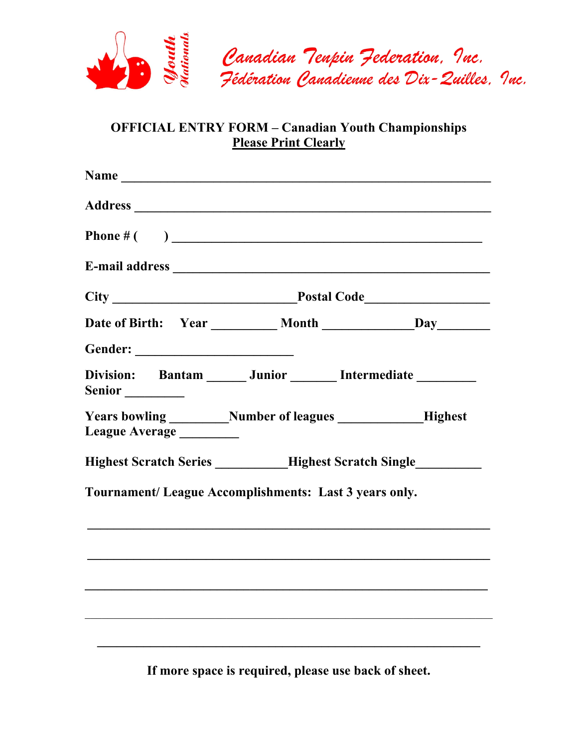

# **OFFICIAL ENTRY FORM – Canadian Youth Championships Please Print Clearly**

| Division: Bantam ______ Junior _______ Intermediate ________                               |  |  |
|--------------------------------------------------------------------------------------------|--|--|
| Years bowling ___________Number of leagues _____________Highest<br>League Average ________ |  |  |
| Highest Scratch Series __________Highest Scratch Single                                    |  |  |
| Tournament/ League Accomplishments: Last 3 years only.                                     |  |  |
|                                                                                            |  |  |
|                                                                                            |  |  |
|                                                                                            |  |  |
|                                                                                            |  |  |
|                                                                                            |  |  |
|                                                                                            |  |  |

**If more space is required, please use back of sheet.**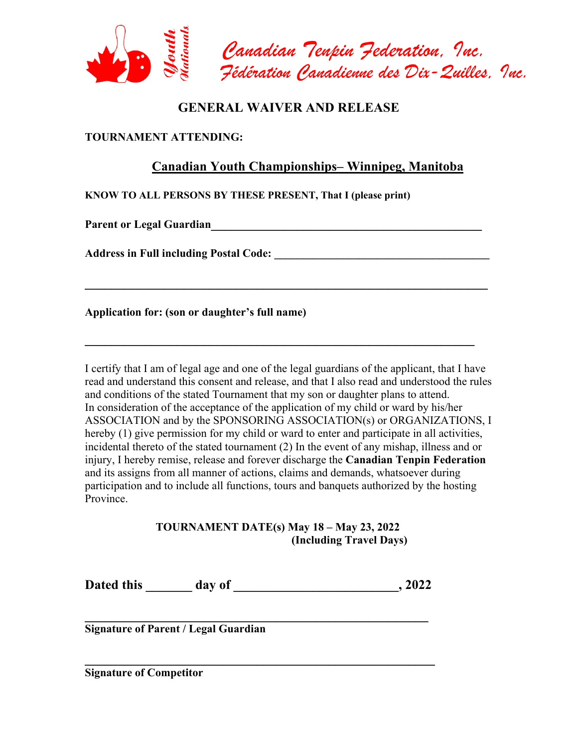

## **GENERAL WAIVER AND RELEASE**

#### **TOURNAMENT ATTENDING:**

### **Canadian Youth Championships– Winnipeg, Manitoba**

**KNOW TO ALL PERSONS BY THESE PRESENT, That I (please print)** 

Parent or Legal Guardian **Parent or Legal Guardian** 

**Address in Full including Postal Code: \_\_\_\_\_\_\_\_\_\_\_\_\_\_\_\_\_\_\_\_\_\_\_\_\_\_\_\_\_\_\_\_\_\_\_\_\_\_** 

**Application for: (son or daughter's full name)** 

I certify that I am of legal age and one of the legal guardians of the applicant, that I have read and understand this consent and release, and that I also read and understood the rules and conditions of the stated Tournament that my son or daughter plans to attend. In consideration of the acceptance of the application of my child or ward by his/her ASSOCIATION and by the SPONSORING ASSOCIATION(s) or ORGANIZATIONS, I hereby (1) give permission for my child or ward to enter and participate in all activities, incidental thereto of the stated tournament (2) In the event of any mishap, illness and or injury, I hereby remise, release and forever discharge the **Canadian Tenpin Federation** and its assigns from all manner of actions, claims and demands, whatsoever during participation and to include all functions, tours and banquets authorized by the hosting Province.

**\_\_\_\_\_\_\_\_\_\_\_\_\_\_\_\_\_\_\_\_\_\_\_\_\_\_\_\_\_\_\_\_\_\_\_\_\_\_\_\_\_\_\_\_\_\_\_\_\_\_\_\_\_\_\_\_\_\_\_\_\_** 

**\_\_\_\_\_\_\_\_\_\_\_\_\_\_\_\_\_\_\_\_\_\_\_\_\_\_\_\_\_\_\_\_\_\_\_\_\_\_\_\_\_\_\_\_\_\_\_\_\_\_\_\_\_\_\_\_\_\_\_**

#### **TOURNAMENT DATE(s) May 18 – May 23, 2022 (Including Travel Days)**

**Dated this \_\_\_\_\_\_\_ day of \_\_\_\_\_\_\_\_\_\_\_\_\_\_\_\_\_\_\_\_\_\_\_\_\_, 2022** 

**\_\_\_\_\_\_\_\_\_\_\_\_\_\_\_\_\_\_\_\_\_\_\_\_\_\_\_\_\_\_\_\_\_\_\_\_\_\_\_\_\_\_\_\_\_\_\_\_\_\_\_\_** 

**Signature of Parent / Legal Guardian** 

**Signature of Competitor**